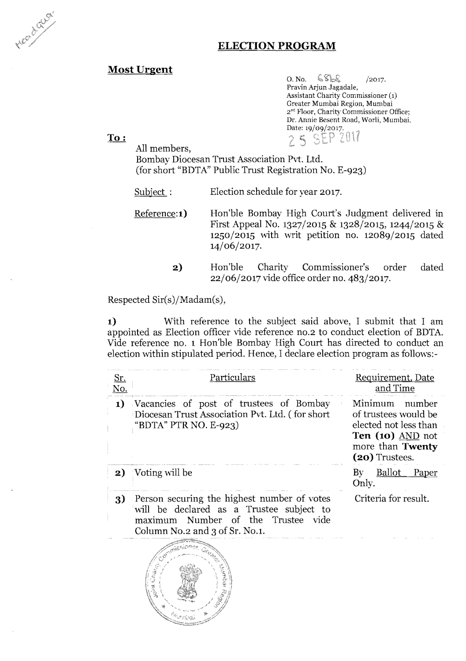Head of Grey

## **ELECTION PROGRAM**

#### Most Urgent

 $O. N_0.$   $S_{S_0}$  / 2017. Pravin Arjun Jagadale, Assistant Charity Commissioner Greater Mumbai Region, Mumbai 2<sup>nd</sup> Floor, Charity Commissioner Office; Dr. Annie Resent Road, Worli, Mumbai. Date: 19/09/2017.  $7017$  $\mathcal{L}_{\mathbf{q}}$  $\leq$ FP ing and the contract of

To:

All members,

Bombay Diocesan Trust Association Pvt. Ltd. (for short "BDTA" Public Trust Registration No. E-923)

Subject : Election schedule for year 2017.

Reference:1) Hon'ble Bombay High Court's Judgment delivered in First Appeal No. 1327/2015 & 1328/2015, 1244/2015 &  $1250/2015$  with writ petition no.  $12089/2015$  dated 14/06/2017.

> **2)**  Hon'ble Charity Commissioner's order dated 22/06/2017 vide office order no. 483/2017.

Respected Sir(s)/Madam(s),

**1)** With reference to the subject said above, I submit that I am appointed as Election officer vide reference no.2 to conduct election of BDTA. Vide reference no. 1 Hon'ble Bombay High Court has directed to conduct an election within stipulated period. Hence, I declare election program as follows:-

| <u>Sr.</u><br>No. | Particulars                                                                                                                                                     | Requirement, Date<br>and Time                                                                                               |
|-------------------|-----------------------------------------------------------------------------------------------------------------------------------------------------------------|-----------------------------------------------------------------------------------------------------------------------------|
| 1)                | Vacancies of post of trustees of Bombay<br>Diocesan Trust Association Pvt. Ltd. (for short<br>"BDTA" PTR NO. E-923)                                             | Minimum number<br>of trustees would be<br>elected not less than<br>Ten (10) AND not<br>more than Twenty<br>$(20)$ Trustees. |
| 2)                | Voting will be                                                                                                                                                  | <u>Ballot</u><br>Paper<br>$\rm\,By$<br>Only.                                                                                |
| 3)                | Person securing the highest number of votes<br>will be declared as a Trustee subject to<br>maximum Number of the Trustee vide<br>Column No.2 and 3 of Sr. No.1. | Criteria for result.                                                                                                        |
|                   |                                                                                                                                                                 |                                                                                                                             |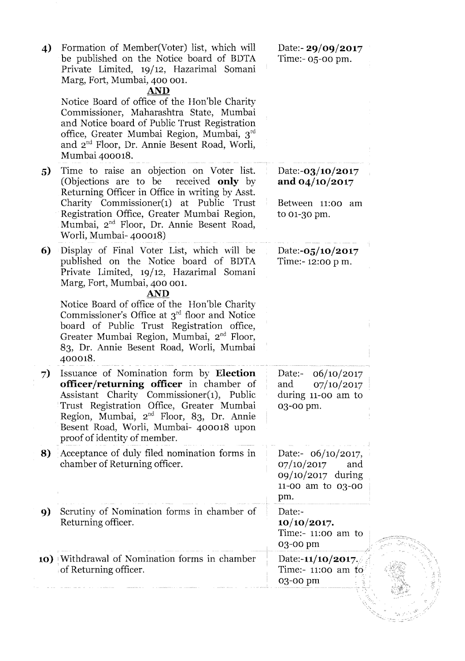| 4) | Formation of Member(Voter) list, which will<br>be published on the Notice board of BDTA<br>Private Limited, 19/12, Hazarimal Somani<br>Marg, Fort, Mumbai, 400 001.<br><b>AND</b>                                                                                                                                                                                                                                                                  | Date:- $29/09/2017$<br>Time: $-05$ -00 pm.                                                  |  |
|----|----------------------------------------------------------------------------------------------------------------------------------------------------------------------------------------------------------------------------------------------------------------------------------------------------------------------------------------------------------------------------------------------------------------------------------------------------|---------------------------------------------------------------------------------------------|--|
|    | Notice Board of office of the Hon'ble Charity<br>Commissioner, Maharashtra State, Mumbai<br>and Notice board of Public Trust Registration<br>office, Greater Mumbai Region, Mumbai, 3 <sup>rd</sup><br>and 2 <sup>nd</sup> Floor, Dr. Annie Besent Road, Worli,<br>Mumbai 400018.                                                                                                                                                                  |                                                                                             |  |
| 5  | Time to raise an objection on Voter list.<br>(Objections are to be<br>received <b>only</b> by<br>Returning Officer in Office in writing by Asst.<br>Charity Commissioner(1) at Public Trust<br>Registration Office, Greater Mumbai Region,<br>Mumbai, 2 <sup>nd</sup> Floor, Dr. Annie Besent Road,<br>Worli, Mumbai-400018)                                                                                                                       | Date:- $03/10/2017$<br>and $04/10/2017$<br>Between 11:00 am<br>to 01-30 pm.                 |  |
| 6) | Display of Final Voter List, which will be<br>published on the Notice board of BDTA<br>Private Limited, 19/12, Hazarimal Somani<br>Marg, Fort, Mumbai, 400 001.<br><b>AND</b><br>Notice Board of office of the Hon'ble Charity<br>Commissioner's Office at $3^{rd}$ floor and Notice<br>board of Public Trust Registration office,<br>Greater Mumbai Region, Mumbai, 2 <sup>nd</sup> Floor,<br>83, Dr. Annie Besent Road, Worli, Mumbai<br>400018. | Date:- $05/10/2017$<br>Time:-12:00 p m.                                                     |  |
| 7) | Issuance of Nomination form by Election<br><b>officer/returning officer</b> in chamber of<br>Assistant Charity Commissioner(1), Public<br>Trust Registration Office, Greater Mumbai<br>Region, Mumbai, 2 <sup>nd</sup> Floor, 83, Dr. Annie<br>Besent Road, Worli, Mumbai- 400018 upon<br>proof of identity of member.                                                                                                                             | 06/10/2017<br>Date:-<br>07/10/2017<br>and<br>during 11-00 am to<br>03-00 pm.                |  |
| 8) | Acceptance of duly filed nomination forms in<br>chamber of Returning officer.                                                                                                                                                                                                                                                                                                                                                                      | Date:- $06/10/2017$ ,<br>07/10/2017<br>and<br>09/10/2017 during<br>11-00 am to 03-00<br>pm. |  |
| 9) | Scrutiny of Nomination forms in chamber of<br>Returning officer.                                                                                                                                                                                                                                                                                                                                                                                   | Date:-<br>10/10/2017.<br>Time:- $11:00$ am to<br>03-00 pm                                   |  |
|    | 10) Withdrawal of Nomination forms in chamber<br>of Returning officer.                                                                                                                                                                                                                                                                                                                                                                             | Date:- $11/10/2017$ .<br>Time:- 11:00 am to<br>03-00 pm                                     |  |
|    |                                                                                                                                                                                                                                                                                                                                                                                                                                                    |                                                                                             |  |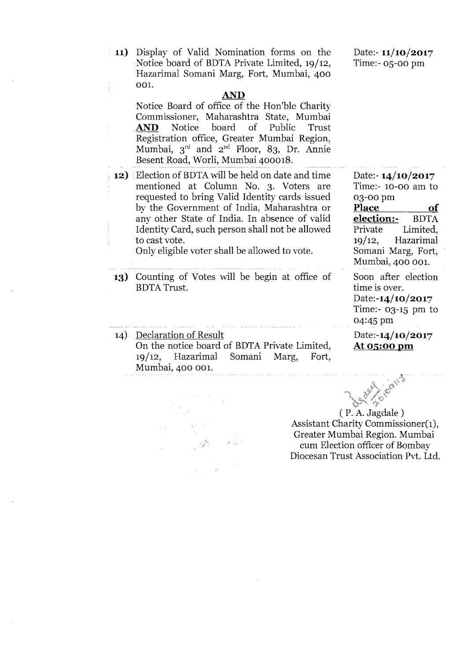**11)**  Display of Valid Nomination forms on the Notice board of BDTA Private Limited, 19/12, Hazarimal Somani Marg, Fort, Mumbai, 400 001.

#### **AlVD**

Notice Board of office of the Hon'ble Charity Commissioner, Maharashtra State, Mumbai AND Notice board of Public Trust Registration office, Greater Mumbai Region, Mumbai,  $3^{rd}$  and  $2^{nd}$  Floor, 83, Dr. Annie Besent Road, Worli, Mumbai 400018.

**12)** Election of BDTA will be held on date and time mentioned at Column No. 3. Voters are requested to bring Valid Identity cards issued by the Government of India, Maharashtra or any other State of India. In absence of valid Identity Card, such person shall not be allowed to cast vote.

Only eligible voter shall be allowed to vote.

**13)** Counting of Votes will be begin at office of BDTA Trust.

14) Declaration of Result On the notice board of BDTA Private Limited, 19/12, Hazarimal Somani Marg, Fort, Mumbai, 400 001.

( P. A. Jagdale ) Assistant Charity Commissioner(1), Greater Mumbai Region. Mumbai cum Election officer of Bombay Diocesan Trust Association Pvt. Ltd.

Date:- **11/10/2017**  Time:- 05-00 pm

Date:- **14/10/2017**  Time:- 10-00 am to 03-00 pm **Place** of **election:-** BDTA **election:-**<br>Private Limited, 19/12, Hazarimal Somani Marg, Fort, Mumbai, 400 001.

Soon after election time is over. Date:-14/10/2017 Time:- 03-15 pm to 04:45 pm

Date:-14/10/2017 At 05:00 pm

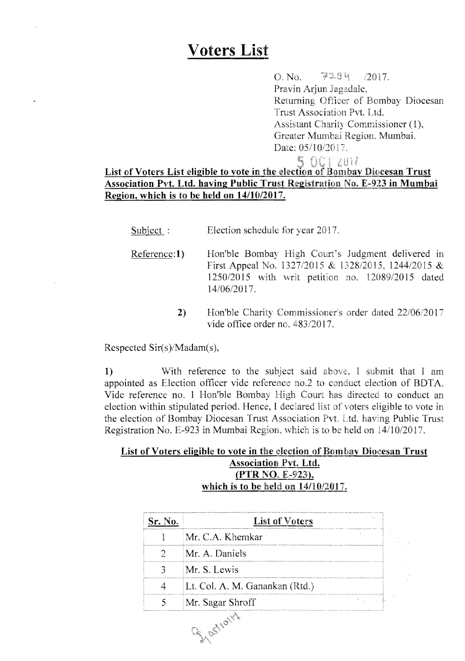# **Voters** List

 $O. No.$   $72.34$  /2017. Pravin Arjun Jagadale, Returning Officer of Bombay Diocesan Trust Association Pvt. Ltd. Assistant Charity Commissioner (1), Greater Mumbai Region. Mumbai. Date: 05/10/2017.

# **E** CC 2017<br>List of Voters List eligible to vote in the election of Bombay Diocesan Trust Association Pvt. Ltd. having Public Trust Registration No. E-923 in Mumbai Region, which is to be held on *14/1012017.*

- Subject : Election schedule for year 2017.
- Reference: 1) Hon'ble Bombay High Court's Judgment delivered in First Appeal No. 1327/2015 & 1328/2015, 124412015 *&*  1250/2015 with petition no. 12089/2015 dated 14/06/201
	- 2) Hon'ble Charity Commissioner's order dated 22/06/2017 vide office order no. 483/2017.

Respected Sir(s)/Madam(s),

1) With reference to the subject said above, I submit that I am appointed as Election officer vide reference no.2 to conduct election of BDTA. Vide reference no. 1 Hon'ble Bombay High Court has directed to conduct an election within stipulated period. Hence, I declared list of voters eligible to vote in the election of Bombay Diocesan Trust Association Pvt. Ltd. having Public Trust Registration No. E-923 in Mumbai Region, which is to be held on  $14/10/2017$ .

### List of Voters eligible to vote in the election of Bombay Diocesan Trust Association Pvt. Ltd. (PTR NO. E-923), which is to be held on  $14/10/2017$ .

| Sr. No. | <b>List of Voters</b>          |  |
|---------|--------------------------------|--|
|         | Mr. C.A. Khemkar               |  |
|         | Mr. A. Daniels                 |  |
|         | Mr. S. Lewis                   |  |
|         | Lt. Col. A. M. Ganankan (Rtd.) |  |
|         | Mr. Sagar Shroff               |  |
|         | Frost rath                     |  |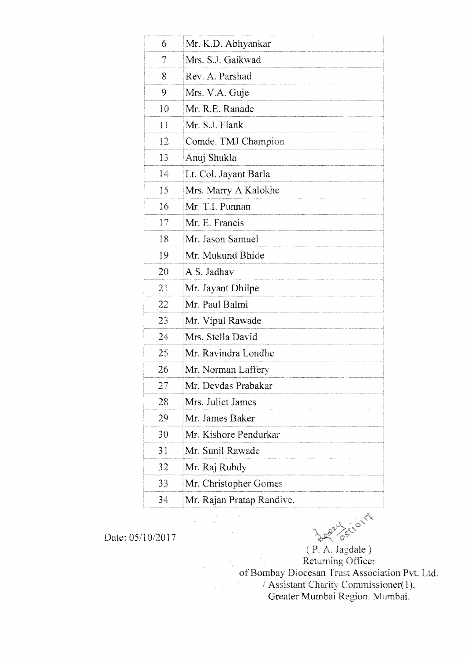| 6               | Mr. K.D. Abhyankar        |
|-----------------|---------------------------|
| 7               | Mrs. S.J. Gaikwad         |
| 8               | Rev. A. Parshad           |
| 9               | Mrs. V.A. Guje            |
| 10              | Mr. R.E. Ranade           |
| $1\overline{1}$ | Mr. S.J. Flank            |
| 12              | Comde. TMJ Champion       |
| 13              | Anuj Shukla               |
| 14              | Lt. Col. Jayant Barla     |
| 15              | Mrs. Marry A Kalokhe      |
| 16              | Mr. T.I. Punnan           |
| 17              | Mr. E. Francis            |
| 18              | Mr. Jason Samuel          |
| 19              | Mr. Mukund Bhide          |
| 20              | A S. Jadhav               |
| 21              | Mr. Jayant Dhilpe         |
| 22              | Mr. Paul Balmi            |
| 23              | Mr. Vipul Rawade          |
| 24              | Mrs. Stella David         |
| 25              | Mr. Ravindra Londhe       |
| 26              | Mr. Norman Laffery        |
| 27              | Mr. Devdas Prabakar       |
| 28              | Mrs. Juliet James         |
| 29              | Mr. James Baker           |
| 30              | Mr. Kishore Pendurkar     |
| 31              | Mr. Sunil Rawade          |
| 32              | Mr. Raj Rubdy             |
| 33              | Mr. Christopher Gomes     |
| 34              | Mr. Rajan Pratap Randive. |

Date: 05/10/2017

CANA

 $(P. A. Jagdale)$ Retuming of Bombay Diocesan Trust Association Pvt. Ltd.<br>
/ Assistant Charity Commissioner(1),<br>
Greater Mumbai Region. Mumbai.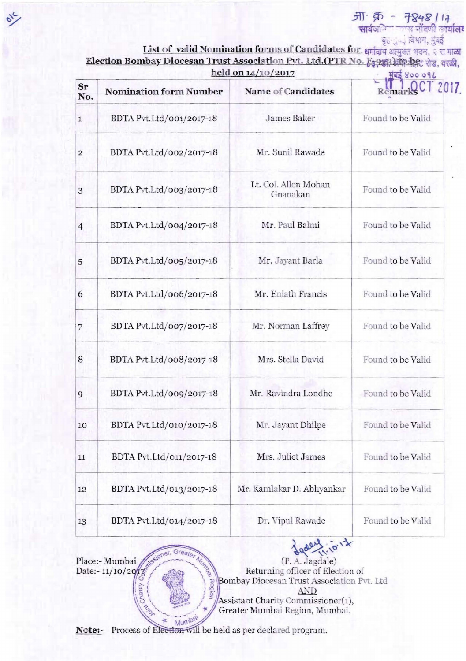$\overline{311}$ :  $\overline{25}$  -  $\overline{78}$ 48 / 14<br>सार्वजनि जन्म नोंदणी कार्यालय

हैं है।<br>List of valid Nomination forms of Candidates for धर्मादाय अन्युक्त भवन, २ रा माळा

| Election Bombay Diocesan Trust Association Pvt. Ltd. (PTR No. E39 की) के दिल शेड, वरळी, |                      |
|-----------------------------------------------------------------------------------------|----------------------|
| held on $14/10/2017$                                                                    | $H$ as $X$ 00 09 $L$ |

| Sr<br>No.      | <b>Nomination form Number</b> | Name of Candidates               | 2017              |
|----------------|-------------------------------|----------------------------------|-------------------|
| $\mathbf{1}$   | BDTA Pvt.Ltd/001/2017-18      | James Baker                      | Found to be Valid |
| $\overline{2}$ | BDTA Pvt.Ltd/002/2017-18      | Mr. Sunil Rawade                 | Found to be Valid |
| 3              | BDTA Pvt.Ltd/003/2017-18      | Lt. Col. Allen Mohan<br>Gnanakan | Found to be Valid |
| $\overline{4}$ | BDTA Pvt.Ltd/004/2017-18      | Mr. Paul Balmi                   | Found to be Valid |
| 5              | BDTA Pvt.Ltd/005/2017-18      | Mr. Jayant Barla                 | Found to be Valid |
| 6              | BDTA Pvt.Ltd/006/2017-18      | Mr. Eniath Francis               | Found to be Valid |
| $\overline{7}$ | BDTA Pvt.Ltd/007/2017-18      | Mr. Norman Laffrey               | Found to be Valid |
| 8              | BDTA Pvt.Ltd/008/2017-18      | Mrs. Stella David                | Found to be Valid |
| 9              | BDTA Pvt.Ltd/009/2017-18      | Mr. Ravindra Londhe              | Found to be Valid |
| 10             | BDTA Pvt.Ltd/010/2017-18      | Mr. Jayant Dhilpe                | Found to be Valid |
| 11             | BDTA Pvt.Ltd/011/2017-18      | Mrs. Juliet James                | Found to be Valid |
| 12             | BDTA Pvt.Ltd/013/2017-18      | Mr. Kamlakar D. Abhyankar        | Found to be Valid |
| 13             | BDTA Pvt.Ltd/014/2017-18      | Dr. Vipul Rawade                 | Found to be Valid |

Greate Place:- Mumbai Date:-  $11/10/20$ O hinesto No.

(P. A. Jagdale) Returning officer of Election of Bombay Diocesan Trust Association Pvt. Ltd **AND** Assistant Charity Commissioner(1), Greater Mumbai Region, Mumbai.

 $\lambda$  $\overline{\circ}$ 

Note:- Process of Election will be held as per declared program.

**Dal Region**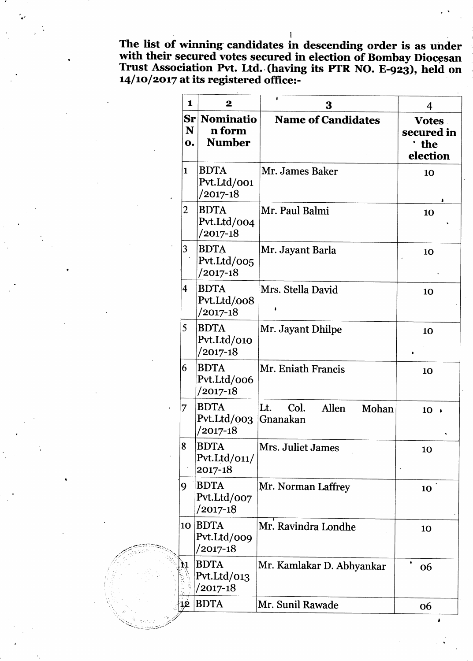The list of winning candidates in descending order is as under<br>with their secured votes secured in election of Bombay Diocesan<br>Trust Association Pvt. Ltd. (having its PTR NO. E-923), held on<br> $14/10/2017$  at its registered

| 1                       | $\mathbf 2$                                | ٠<br>3                                    | 4                                             |
|-------------------------|--------------------------------------------|-------------------------------------------|-----------------------------------------------|
| N<br>0.                 | Sr Nominatio<br>n form<br><b>Number</b>    | <b>Name of Candidates</b>                 | <b>Votes</b><br>secured in<br>the<br>election |
| $\mathbf{1}$            | <b>BDTA</b><br>Pvt.Ltd/001<br>/2017-18     | Mr. James Baker                           | 10                                            |
| 2                       | <b>BDTA</b><br>Pvt.Ltd/004<br>$/2017 - 18$ | Mr. Paul Balmi                            | 10                                            |
| 3                       | <b>BDTA</b><br>Pvt.Ltd/005<br>$/2017-18$   | Mr. Jayant Barla                          | 10                                            |
| $\overline{\mathbf{4}}$ | <b>BDTA</b><br>Pvt.Ltd/008<br>/2017-18     | Mrs. Stella David                         | 10                                            |
| 5                       | <b>BDTA</b><br>Pvt.Ltd/010<br>/2017-18     | Mr. Jayant Dhilpe                         | 10                                            |
| 6                       | <b>BDTA</b><br>Pvt.Ltd/006<br>/2017-18     | Mr. Eniath Francis                        | 10                                            |
| 7                       | <b>BDTA</b><br>Pvt.Ltd/003<br>/2017-18     | Col.<br>Lt.<br>Allen<br>Mohan<br>Gnanakan | 10                                            |
| 8                       | <b>BDTA</b><br>Pvt.Ltd/011/<br>2017-18     | Mrs. Juliet James                         | 10                                            |
| 9                       | <b>BDTA</b><br>Pvt.Ltd/007<br>/2017-18     | Mr. Norman Laffrey                        | 10                                            |
| 10                      | <b>BDTA</b><br>Pvt.Ltd/009<br>$/2017-18$   | Mr. Ravindra Londhe                       | 10                                            |
| 11                      | <b>BDTA</b><br>Pvt.Ltd/013<br>/2017-18     | Mr. Kamlakar D. Abhyankar                 | ۰<br>06                                       |
|                         | <b>BDTA</b>                                | Mr. Sunil Rawade                          | 06                                            |